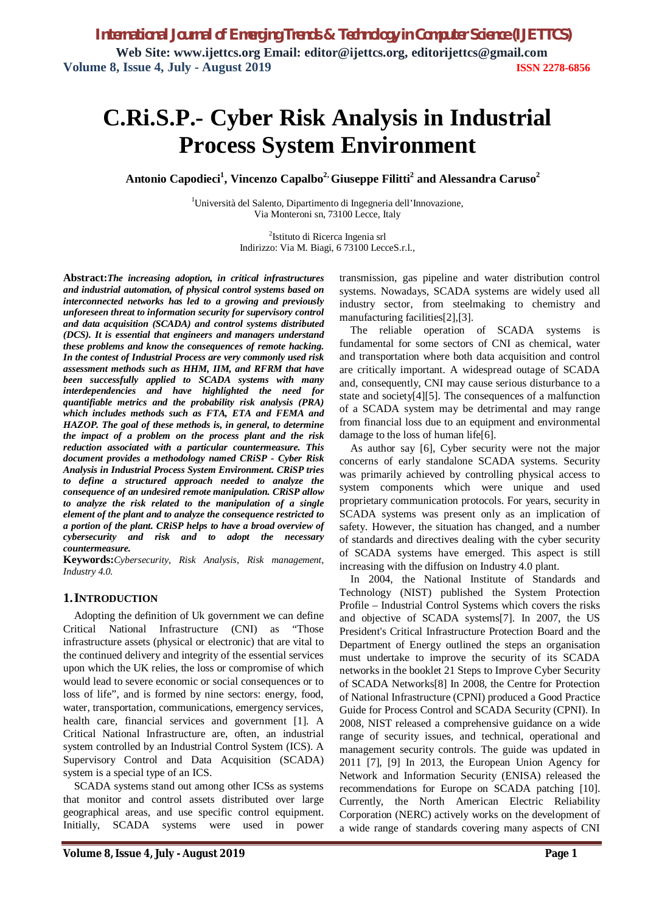# **C.Ri.S.P.- Cyber Risk Analysis in Industrial Process System Environment**

**Antonio Capodieci<sup>1</sup> , Vincenzo Capalbo2, Giuseppe Filitti<sup>2</sup> and Alessandra Caruso<sup>2</sup>**

<sup>1</sup>Università del Salento, Dipartimento di Ingegneria dell'Innovazione, Via Monteroni sn, 73100 Lecce, Italy

> 2 Istituto di Ricerca Ingenia srl Indirizzo: Via M. Biagi, 6 73100 LecceS.r.l.,

**Abstract:***The increasing adoption, in critical infrastructures and industrial automation, of physical control systems based on interconnected networks has led to a growing and previously unforeseen threat to information security for supervisory control and data acquisition (SCADA) and control systems distributed (DCS). It is essential that engineers and managers understand these problems and know the consequences of remote hacking. In the contest of Industrial Process are very commonly used risk assessment methods such as HHM, IIM, and RFRM that have been successfully applied to SCADA systems with many interdependencies and have highlighted the need for quantifiable metrics and the probability risk analysis (PRA) which includes methods such as FTA, ETA and FEMA and HAZOP. The goal of these methods is, in general, to determine the impact of a problem on the process plant and the risk reduction associated with a particular countermeasure. This document provides a methodology named CRiSP - Cyber Risk Analysis in Industrial Process System Environment. CRiSP tries to define a structured approach needed to analyze the consequence of an undesired remote manipulation. CRiSP allow to analyze the risk related to the manipulation of a single element of the plant and to analyze the consequence restricted to a portion of the plant. CRiSP helps to have a broad overview of cybersecurity and risk and to adopt the necessary countermeasure.*

**Keywords:***Cybersecurity, Risk Analysis, Risk management, Industry 4.0.* 

#### **1.INTRODUCTION**

Adopting the definition of Uk government we can define Critical National Infrastructure (CNI) as "Those infrastructure assets (physical or electronic) that are vital to the continued delivery and integrity of the essential services upon which the UK relies, the loss or compromise of which would lead to severe economic or social consequences or to loss of life", and is formed by nine sectors: energy, food, water, transportation, communications, emergency services, health care, financial services and government [1]. A Critical National Infrastructure are, often, an industrial system controlled by an Industrial Control System (ICS). A Supervisory Control and Data Acquisition (SCADA) system is a special type of an ICS.

SCADA systems stand out among other ICSs as systems that monitor and control assets distributed over large geographical areas, and use specific control equipment. Initially, SCADA systems were used in power transmission, gas pipeline and water distribution control systems. Nowadays, SCADA systems are widely used all industry sector, from steelmaking to chemistry and manufacturing facilities[2],[3].

The reliable operation of SCADA systems is fundamental for some sectors of CNI as chemical, water and transportation where both data acquisition and control are critically important. A widespread outage of SCADA and, consequently, CNI may cause serious disturbance to a state and society[4][5]. The consequences of a malfunction of a SCADA system may be detrimental and may range from financial loss due to an equipment and environmental damage to the loss of human life[6].

As author say [6], Cyber security were not the major concerns of early standalone SCADA systems. Security was primarily achieved by controlling physical access to system components which were unique and used proprietary communication protocols. For years, security in SCADA systems was present only as an implication of safety. However, the situation has changed, and a number of standards and directives dealing with the cyber security of SCADA systems have emerged. This aspect is still increasing with the diffusion on Industry 4.0 plant.

In 2004, the National Institute of Standards and Technology (NIST) published the System Protection Profile – Industrial Control Systems which covers the risks and objective of SCADA systems[7]. In 2007, the US President's Critical Infrastructure Protection Board and the Department of Energy outlined the steps an organisation must undertake to improve the security of its SCADA networks in the booklet 21 Steps to Improve Cyber Security of SCADA Networks[8] In 2008, the Centre for Protection of National Infrastructure (CPNI) produced a Good Practice Guide for Process Control and SCADA Security (CPNI). In 2008, NIST released a comprehensive guidance on a wide range of security issues, and technical, operational and management security controls. The guide was updated in 2011 [7], [9] In 2013, the European Union Agency for Network and Information Security (ENISA) released the recommendations for Europe on SCADA patching [10]. Currently, the North American Electric Reliability Corporation (NERC) actively works on the development of a wide range of standards covering many aspects of CNI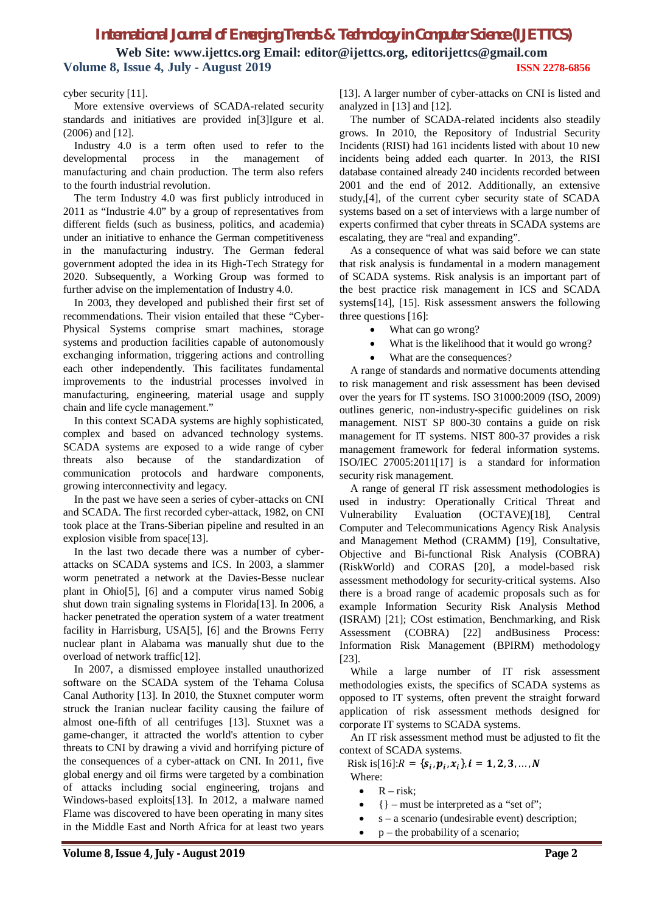## *International Journal of Emerging Trends & Technology in Computer Science (IJETTCS)* **Web Site: www.ijettcs.org Email: editor@ijettcs.org, editorijettcs@gmail.com Volume 8, Issue 4, July - August 2019 ISSN 2278-6856**

#### cyber security [11].

More extensive overviews of SCADA-related security standards and initiatives are provided in[3]Igure et al. (2006) and [12].

Industry 4.0 is a term often used to refer to the developmental process in the management of manufacturing and chain production. The term also refers to the fourth industrial revolution.

The term Industry 4.0 was first publicly introduced in 2011 as "Industrie 4.0" by a group of representatives from different fields (such as business, politics, and academia) under an initiative to enhance the German competitiveness in the manufacturing industry. The German federal government adopted the idea in its High-Tech Strategy for 2020. Subsequently, a Working Group was formed to further advise on the implementation of Industry 4.0.

In 2003, they developed and published their first set of recommendations. Their vision entailed that these "Cyber-Physical Systems comprise smart machines, storage systems and production facilities capable of autonomously exchanging information, triggering actions and controlling each other independently. This facilitates fundamental improvements to the industrial processes involved in manufacturing, engineering, material usage and supply chain and life cycle management."

In this context SCADA systems are highly sophisticated, complex and based on advanced technology systems. SCADA systems are exposed to a wide range of cyber threats also because of the standardization of communication protocols and hardware components, growing interconnectivity and legacy.

In the past we have seen a series of cyber-attacks on CNI and SCADA. The first recorded cyber-attack, 1982, on CNI took place at the Trans-Siberian pipeline and resulted in an explosion visible from space[13].

In the last two decade there was a number of cyberattacks on SCADA systems and ICS. In 2003, a slammer worm penetrated a network at the Davies-Besse nuclear plant in Ohio[5], [6] and a computer virus named Sobig shut down train signaling systems in Florida[13]. In 2006, a hacker penetrated the operation system of a water treatment facility in Harrisburg, USA[5], [6] and the Browns Ferry nuclear plant in Alabama was manually shut due to the overload of network traffic[12].

In 2007, a dismissed employee installed unauthorized software on the SCADA system of the Tehama Colusa Canal Authority [13]. In 2010, the Stuxnet computer worm struck the Iranian nuclear facility causing the failure of almost one-fifth of all centrifuges [13]. Stuxnet was a game-changer, it attracted the world's attention to cyber threats to CNI by drawing a vivid and horrifying picture of the consequences of a cyber-attack on CNI. In 2011, five global energy and oil firms were targeted by a combination of attacks including social engineering, trojans and Windows-based exploits[13]. In 2012, a malware named Flame was discovered to have been operating in many sites in the Middle East and North Africa for at least two years [13]. A larger number of cyber-attacks on CNI is listed and analyzed in [13] and [12].

The number of SCADA-related incidents also steadily grows. In 2010, the Repository of Industrial Security Incidents (RISI) had 161 incidents listed with about 10 new incidents being added each quarter. In 2013, the RISI database contained already 240 incidents recorded between 2001 and the end of 2012. Additionally, an extensive study,[4], of the current cyber security state of SCADA systems based on a set of interviews with a large number of experts confirmed that cyber threats in SCADA systems are escalating, they are "real and expanding".

As a consequence of what was said before we can state that risk analysis is fundamental in a modern management of SCADA systems. Risk analysis is an important part of the best practice risk management in ICS and SCADA systems[14], [15]. Risk assessment answers the following three questions [16]:

- What can go wrong?
- What is the likelihood that it would go wrong?
- What are the consequences?

A range of standards and normative documents attending to risk management and risk assessment has been devised over the years for IT systems. ISO 31000:2009 (ISO, 2009) outlines generic, non-industry-specific guidelines on risk management. NIST SP 800-30 contains a guide on risk management for IT systems. NIST 800-37 provides a risk management framework for federal information systems. ISO/IEC 27005:2011[17] is a standard for information security risk management.

A range of general IT risk assessment methodologies is used in industry: Operationally Critical Threat and Vulnerability Evaluation (OCTAVE)[18], Central Computer and Telecommunications Agency Risk Analysis and Management Method (CRAMM) [19], Consultative, Objective and Bi-functional Risk Analysis (COBRA) (RiskWorld) and CORAS [20], a model-based risk assessment methodology for security-critical systems. Also there is a broad range of academic proposals such as for example Information Security Risk Analysis Method (ISRAM) [21]; COst estimation, Benchmarking, and Risk Assessment (COBRA) [22] andBusiness Process: Information Risk Management (BPIRM) methodology [23].

While a large number of IT risk assessment methodologies exists, the specifics of SCADA systems as opposed to IT systems, often prevent the straight forward application of risk assessment methods designed for corporate IT systems to SCADA systems.

An IT risk assessment method must be adjusted to fit the context of SCADA systems.

Risk is[16]: $R = \{s_i, p_i, x_i\}, i = 1, 2, 3, ..., N$ 

- Where:
	- $R risk$ ;
	- $\{\}$  must be interpreted as a "set of";
	- s a scenario (undesirable event) description;
		- p the probability of a scenario;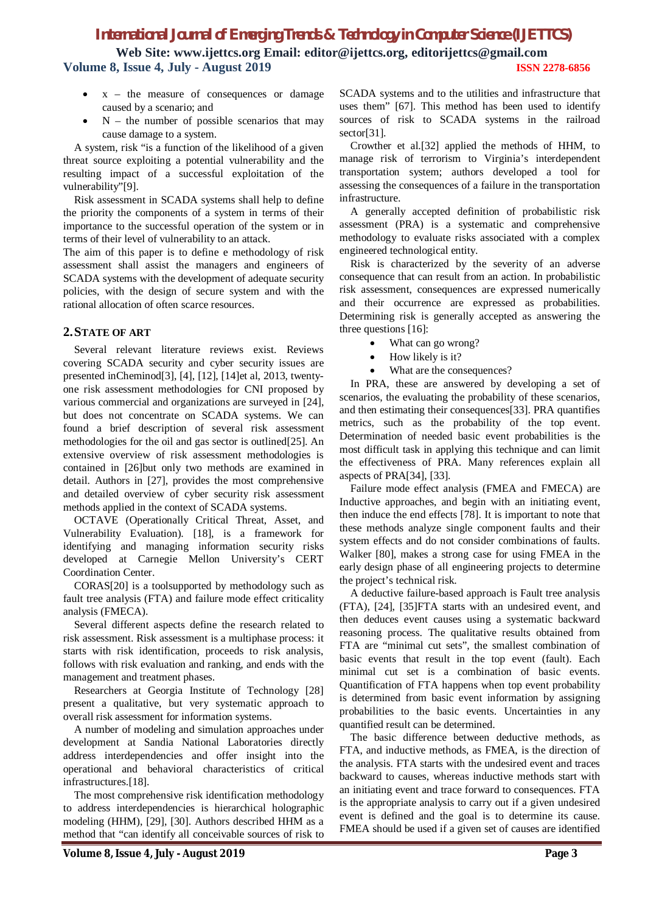**Web Site: www.ijettcs.org Email: editor@ijettcs.org, editorijettcs@gmail.com Volume 8, Issue 4, July - August 2019 ISSN 2278-6856**

- $x -$  the measure of consequences or damage caused by a scenario; and
- $\bullet$  N the number of possible scenarios that may cause damage to a system.

A system, risk "is a function of the likelihood of a given threat source exploiting a potential vulnerability and the resulting impact of a successful exploitation of the vulnerability"[9].

Risk assessment in SCADA systems shall help to define the priority the components of a system in terms of their importance to the successful operation of the system or in terms of their level of vulnerability to an attack.

The aim of this paper is to define e methodology of risk assessment shall assist the managers and engineers of SCADA systems with the development of adequate security policies, with the design of secure system and with the rational allocation of often scarce resources.

#### **2.STATE OF ART**

Several relevant literature reviews exist. Reviews covering SCADA security and cyber security issues are presented inCheminod[3], [4], [12], [14]et al, 2013, twentyone risk assessment methodologies for CNI proposed by various commercial and organizations are surveyed in [24], but does not concentrate on SCADA systems. We can found a brief description of several risk assessment methodologies for the oil and gas sector is outlined[25]. An extensive overview of risk assessment methodologies is contained in [26]but only two methods are examined in detail. Authors in [27], provides the most comprehensive and detailed overview of cyber security risk assessment methods applied in the context of SCADA systems.

OCTAVE (Operationally Critical Threat, Asset, and Vulnerability Evaluation). [18], is a framework for identifying and managing information security risks developed at Carnegie Mellon University's CERT Coordination Center.

CORAS[20] is a toolsupported by methodology such as fault tree analysis (FTA) and failure mode effect criticality analysis (FMECA).

Several different aspects define the research related to risk assessment. Risk assessment is a multiphase process: it starts with risk identification, proceeds to risk analysis, follows with risk evaluation and ranking, and ends with the management and treatment phases.

Researchers at Georgia Institute of Technology [28] present a qualitative, but very systematic approach to overall risk assessment for information systems.

A number of modeling and simulation approaches under development at Sandia National Laboratories directly address interdependencies and offer insight into the operational and behavioral characteristics of critical infrastructures.[18].

The most comprehensive risk identification methodology to address interdependencies is hierarchical holographic modeling (HHM), [29], [30]. Authors described HHM as a method that "can identify all conceivable sources of risk to

SCADA systems and to the utilities and infrastructure that uses them" [67]. This method has been used to identify sources of risk to SCADA systems in the railroad sector<sup>[31]</sup>.

Crowther et al.[32] applied the methods of HHM, to manage risk of terrorism to Virginia's interdependent transportation system; authors developed a tool for assessing the consequences of a failure in the transportation infrastructure.

A generally accepted definition of probabilistic risk assessment (PRA) is a systematic and comprehensive methodology to evaluate risks associated with a complex engineered technological entity.

Risk is characterized by the severity of an adverse consequence that can result from an action. In probabilistic risk assessment, consequences are expressed numerically and their occurrence are expressed as probabilities. Determining risk is generally accepted as answering the three questions [16]:

- What can go wrong?
- How likely is it?
- What are the consequences?

In PRA, these are answered by developing a set of scenarios, the evaluating the probability of these scenarios, and then estimating their consequences[33]. PRA quantifies metrics, such as the probability of the top event. Determination of needed basic event probabilities is the most difficult task in applying this technique and can limit the effectiveness of PRA. Many references explain all aspects of PRA[34], [33].

Failure mode effect analysis (FMEA and FMECA) are Inductive approaches, and begin with an initiating event, then induce the end effects [78]. It is important to note that these methods analyze single component faults and their system effects and do not consider combinations of faults. Walker [80], makes a strong case for using FMEA in the early design phase of all engineering projects to determine the project's technical risk.

A deductive failure-based approach is Fault tree analysis (FTA), [24], [35]FTA starts with an undesired event, and then deduces event causes using a systematic backward reasoning process. The qualitative results obtained from FTA are "minimal cut sets", the smallest combination of basic events that result in the top event (fault). Each minimal cut set is a combination of basic events. Quantification of FTA happens when top event probability is determined from basic event information by assigning probabilities to the basic events. Uncertainties in any quantified result can be determined.

The basic difference between deductive methods, as FTA, and inductive methods, as FMEA, is the direction of the analysis. FTA starts with the undesired event and traces backward to causes, whereas inductive methods start with an initiating event and trace forward to consequences. FTA is the appropriate analysis to carry out if a given undesired event is defined and the goal is to determine its cause. FMEA should be used if a given set of causes are identified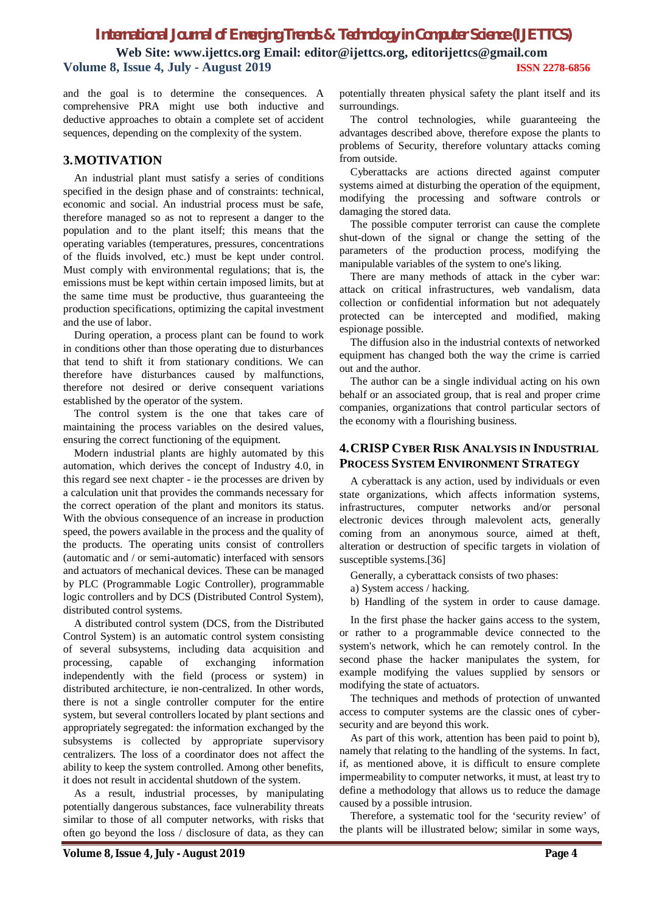**Web Site: www.ijettcs.org Email: editor@ijettcs.org, editorijettcs@gmail.com Volume 8, Issue 4, July - August 2019 ISSN 2278-6856**

and the goal is to determine the consequences. A comprehensive PRA might use both inductive and deductive approaches to obtain a complete set of accident sequences, depending on the complexity of the system.

#### **3.MOTIVATION**

An industrial plant must satisfy a series of conditions specified in the design phase and of constraints: technical, economic and social. An industrial process must be safe, therefore managed so as not to represent a danger to the population and to the plant itself; this means that the operating variables (temperatures, pressures, concentrations of the fluids involved, etc.) must be kept under control. Must comply with environmental regulations; that is, the emissions must be kept within certain imposed limits, but at the same time must be productive, thus guaranteeing the production specifications, optimizing the capital investment and the use of labor.

During operation, a process plant can be found to work in conditions other than those operating due to disturbances that tend to shift it from stationary conditions. We can therefore have disturbances caused by malfunctions, therefore not desired or derive consequent variations established by the operator of the system.

The control system is the one that takes care of maintaining the process variables on the desired values, ensuring the correct functioning of the equipment.

Modern industrial plants are highly automated by this automation, which derives the concept of Industry 4.0, in this regard see next chapter - ie the processes are driven by a calculation unit that provides the commands necessary for the correct operation of the plant and monitors its status. With the obvious consequence of an increase in production speed, the powers available in the process and the quality of the products. The operating units consist of controllers (automatic and / or semi-automatic) interfaced with sensors and actuators of mechanical devices. These can be managed by PLC (Programmable Logic Controller), programmable logic controllers and by DCS (Distributed Control System), distributed control systems.

A distributed control system (DCS, from the Distributed Control System) is an automatic control system consisting of several subsystems, including data acquisition and processing, capable of exchanging information independently with the field (process or system) in distributed architecture, ie non-centralized. In other words, there is not a single controller computer for the entire system, but several controllers located by plant sections and appropriately segregated: the information exchanged by the subsystems is collected by appropriate supervisory centralizers. The loss of a coordinator does not affect the ability to keep the system controlled. Among other benefits, it does not result in accidental shutdown of the system.

As a result, industrial processes, by manipulating potentially dangerous substances, face vulnerability threats similar to those of all computer networks, with risks that often go beyond the loss / disclosure of data, as they can

potentially threaten physical safety the plant itself and its surroundings.

The control technologies, while guaranteeing the advantages described above, therefore expose the plants to problems of Security, therefore voluntary attacks coming from outside.

Cyberattacks are actions directed against computer systems aimed at disturbing the operation of the equipment, modifying the processing and software controls or damaging the stored data.

The possible computer terrorist can cause the complete shut-down of the signal or change the setting of the parameters of the production process, modifying the manipulable variables of the system to one's liking.

There are many methods of attack in the cyber war: attack on critical infrastructures, web vandalism, data collection or confidential information but not adequately protected can be intercepted and modified, making espionage possible.

The diffusion also in the industrial contexts of networked equipment has changed both the way the crime is carried out and the author.

The author can be a single individual acting on his own behalf or an associated group, that is real and proper crime companies, organizations that control particular sectors of the economy with a flourishing business.

#### **4.CRISP CYBER RISK ANALYSIS IN INDUSTRIAL PROCESS SYSTEM ENVIRONMENT STRATEGY**

A cyberattack is any action, used by individuals or even state organizations, which affects information systems, infrastructures, computer networks and/or personal electronic devices through malevolent acts, generally coming from an anonymous source, aimed at theft, alteration or destruction of specific targets in violation of susceptible systems.[36]

Generally, a cyberattack consists of two phases:

a) System access / hacking.

b) Handling of the system in order to cause damage.

In the first phase the hacker gains access to the system, or rather to a programmable device connected to the system's network, which he can remotely control. In the second phase the hacker manipulates the system, for example modifying the values supplied by sensors or modifying the state of actuators.

The techniques and methods of protection of unwanted access to computer systems are the classic ones of cybersecurity and are beyond this work.

As part of this work, attention has been paid to point b), namely that relating to the handling of the systems. In fact, if, as mentioned above, it is difficult to ensure complete impermeability to computer networks, it must, at least try to define a methodology that allows us to reduce the damage caused by a possible intrusion.

Therefore, a systematic tool for the 'security review' of the plants will be illustrated below; similar in some ways,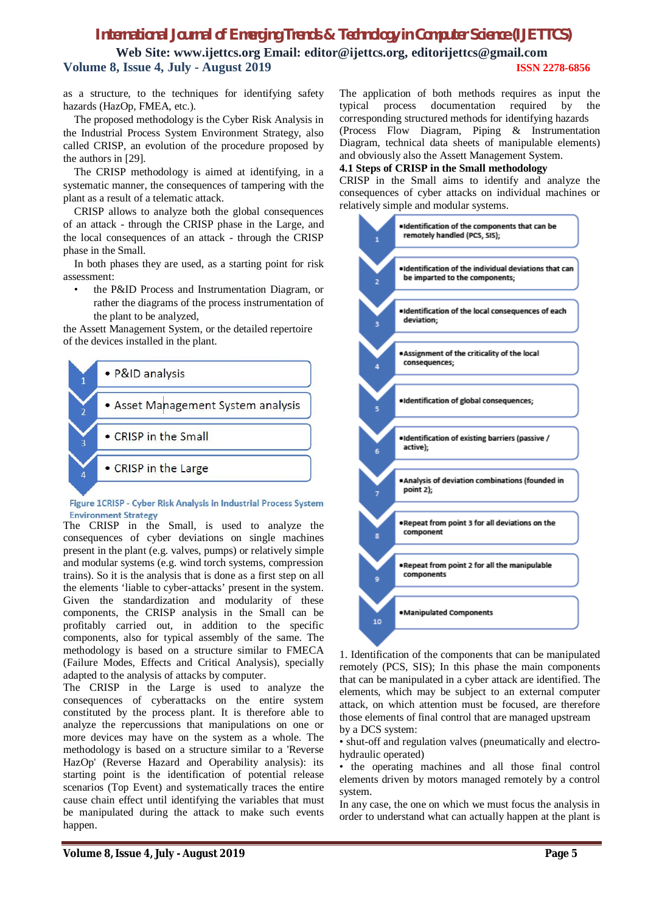**Web Site: www.ijettcs.org Email: editor@ijettcs.org, editorijettcs@gmail.com Volume 8, Issue 4, July - August 2019 ISSN 2278-6856**

as a structure, to the techniques for identifying safety hazards (HazOp, FMEA, etc.).

The proposed methodology is the Cyber Risk Analysis in the Industrial Process System Environment Strategy, also called CRISP, an evolution of the procedure proposed by the authors in [29].

The CRISP methodology is aimed at identifying, in a systematic manner, the consequences of tampering with the plant as a result of a telematic attack.

CRISP allows to analyze both the global consequences of an attack - through the CRISP phase in the Large, and the local consequences of an attack - through the CRISP phase in the Small.

In both phases they are used, as a starting point for risk assessment:

the P&ID Process and Instrumentation Diagram, or rather the diagrams of the process instrumentation of the plant to be analyzed,

the Assett Management System, or the detailed repertoire of the devices installed in the plant.



#### Figure 1CRISP - Cyber Risk Analysis in Industrial Process System **Environment Strategy**

The CRISP in the Small, is used to analyze the consequences of cyber deviations on single machines present in the plant (e.g. valves, pumps) or relatively simple and modular systems (e.g. wind torch systems, compression trains). So it is the analysis that is done as a first step on all the elements 'liable to cyber-attacks' present in the system. Given the standardization and modularity of these components, the CRISP analysis in the Small can be profitably carried out, in addition to the specific components, also for typical assembly of the same. The methodology is based on a structure similar to FMECA (Failure Modes, Effects and Critical Analysis), specially adapted to the analysis of attacks by computer.

The CRISP in the Large is used to analyze the consequences of cyberattacks on the entire system constituted by the process plant. It is therefore able to analyze the repercussions that manipulations on one or more devices may have on the system as a whole. The methodology is based on a structure similar to a 'Reverse HazOp' (Reverse Hazard and Operability analysis): its starting point is the identification of potential release scenarios (Top Event) and systematically traces the entire cause chain effect until identifying the variables that must be manipulated during the attack to make such events happen.

The application of both methods requires as input the typical process documentation required by the corresponding structured methods for identifying hazards (Process Flow Diagram, Piping & Instrumentation Diagram, technical data sheets of manipulable elements) and obviously also the Assett Management System.

#### **4.1 Steps of CRISP in the Small methodology**

CRISP in the Small aims to identify and analyze the consequences of cyber attacks on individual machines or relatively simple and modular systems.



1. Identification of the components that can be manipulated remotely (PCS, SIS); In this phase the main components that can be manipulated in a cyber attack are identified. The elements, which may be subject to an external computer attack, on which attention must be focused, are therefore those elements of final control that are managed upstream by a DCS system:

• shut-off and regulation valves (pneumatically and electrohydraulic operated)

• the operating machines and all those final control elements driven by motors managed remotely by a control system.

In any case, the one on which we must focus the analysis in order to understand what can actually happen at the plant is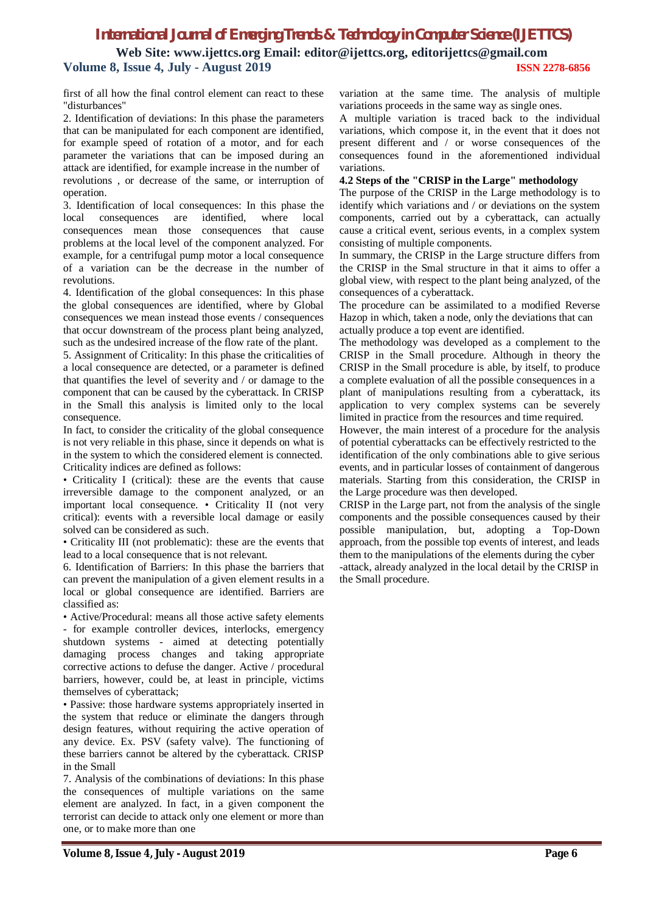## *International Journal of Emerging Trends & Technology in Computer Science (IJETTCS)* **Web Site: www.ijettcs.org Email: editor@ijettcs.org, editorijettcs@gmail.com Volume 8, Issue 4, July - August 2019 ISSN 2278-6856**

first of all how the final control element can react to these "disturbances"

2. Identification of deviations: In this phase the parameters that can be manipulated for each component are identified, for example speed of rotation of a motor, and for each parameter the variations that can be imposed during an attack are identified, for example increase in the number of revolutions , or decrease of the same, or interruption of operation.

3. Identification of local consequences: In this phase the local consequences are identified, where local consequences mean those consequences that cause problems at the local level of the component analyzed. For example, for a centrifugal pump motor a local consequence of a variation can be the decrease in the number of revolutions.

4. Identification of the global consequences: In this phase the global consequences are identified, where by Global consequences we mean instead those events / consequences that occur downstream of the process plant being analyzed, such as the undesired increase of the flow rate of the plant.

5. Assignment of Criticality: In this phase the criticalities of a local consequence are detected, or a parameter is defined that quantifies the level of severity and / or damage to the component that can be caused by the cyberattack. In CRISP in the Small this analysis is limited only to the local consequence.

In fact, to consider the criticality of the global consequence is not very reliable in this phase, since it depends on what is in the system to which the considered element is connected. Criticality indices are defined as follows:

• Criticality I (critical): these are the events that cause irreversible damage to the component analyzed, or an important local consequence. • Criticality II (not very critical): events with a reversible local damage or easily solved can be considered as such.

• Criticality III (not problematic): these are the events that lead to a local consequence that is not relevant.

6. Identification of Barriers: In this phase the barriers that can prevent the manipulation of a given element results in a local or global consequence are identified. Barriers are classified as:

• Active/Procedural: means all those active safety elements - for example controller devices, interlocks, emergency shutdown systems - aimed at detecting potentially damaging process changes and taking appropriate corrective actions to defuse the danger. Active / procedural barriers, however, could be, at least in principle, victims themselves of cyberattack;

• Passive: those hardware systems appropriately inserted in the system that reduce or eliminate the dangers through design features, without requiring the active operation of any device. Ex. PSV (safety valve). The functioning of these barriers cannot be altered by the cyberattack. CRISP in the Small

7. Analysis of the combinations of deviations: In this phase the consequences of multiple variations on the same element are analyzed. In fact, in a given component the terrorist can decide to attack only one element or more than one, or to make more than one

variation at the same time. The analysis of multiple variations proceeds in the same way as single ones.

A multiple variation is traced back to the individual variations, which compose it, in the event that it does not present different and / or worse consequences of the consequences found in the aforementioned individual variations.

#### **4.2 Steps of the "CRISP in the Large" methodology**

The purpose of the CRISP in the Large methodology is to identify which variations and / or deviations on the system components, carried out by a cyberattack, can actually cause a critical event, serious events, in a complex system consisting of multiple components.

In summary, the CRISP in the Large structure differs from the CRISP in the Smal structure in that it aims to offer a global view, with respect to the plant being analyzed, of the consequences of a cyberattack.

The procedure can be assimilated to a modified Reverse Hazop in which, taken a node, only the deviations that can actually produce a top event are identified.

The methodology was developed as a complement to the CRISP in the Small procedure. Although in theory the CRISP in the Small procedure is able, by itself, to produce a complete evaluation of all the possible consequences in a plant of manipulations resulting from a cyberattack, its application to very complex systems can be severely limited in practice from the resources and time required.

However, the main interest of a procedure for the analysis of potential cyberattacks can be effectively restricted to the identification of the only combinations able to give serious events, and in particular losses of containment of dangerous materials. Starting from this consideration, the CRISP in the Large procedure was then developed.

CRISP in the Large part, not from the analysis of the single components and the possible consequences caused by their possible manipulation, but, adopting a Top-Down approach, from the possible top events of interest, and leads them to the manipulations of the elements during the cyber -attack, already analyzed in the local detail by the CRISP in the Small procedure.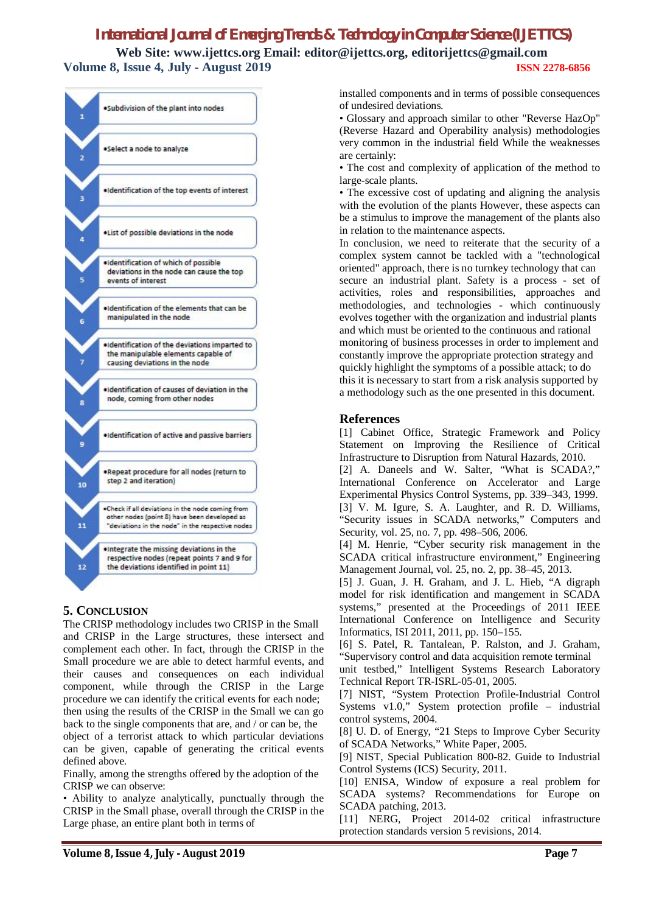**Web Site: www.ijettcs.org Email: editor@ijettcs.org, editorijettcs@gmail.com Volume 8, Issue 4, July - August 2019 ISSN 2278-6856**



### **5. CONCLUSION**

The CRISP methodology includes two CRISP in the Small and CRISP in the Large structures, these intersect and complement each other. In fact, through the CRISP in the Small procedure we are able to detect harmful events, and their causes and consequences on each individual component, while through the CRISP in the Large procedure we can identify the critical events for each node; then using the results of the CRISP in the Small we can go back to the single components that are, and / or can be, the object of a terrorist attack to which particular deviations can be given, capable of generating the critical events defined above.

Finally, among the strengths offered by the adoption of the CRISP we can observe:

• Ability to analyze analytically, punctually through the CRISP in the Small phase, overall through the CRISP in the Large phase, an entire plant both in terms of

installed components and in terms of possible consequences of undesired deviations.

• Glossary and approach similar to other "Reverse HazOp" (Reverse Hazard and Operability analysis) methodologies very common in the industrial field While the weaknesses are certainly:

• The cost and complexity of application of the method to large-scale plants.

• The excessive cost of updating and aligning the analysis with the evolution of the plants However, these aspects can be a stimulus to improve the management of the plants also in relation to the maintenance aspects.

In conclusion, we need to reiterate that the security of a complex system cannot be tackled with a "technological oriented" approach, there is no turnkey technology that can secure an industrial plant. Safety is a process - set of activities, roles and responsibilities, approaches and methodologies, and technologies - which continuously evolves together with the organization and industrial plants and which must be oriented to the continuous and rational monitoring of business processes in order to implement and constantly improve the appropriate protection strategy and quickly highlight the symptoms of a possible attack; to do this it is necessary to start from a risk analysis supported by a methodology such as the one presented in this document.

#### **References**

[1] Cabinet Office, Strategic Framework and Policy Statement on Improving the Resilience of Critical Infrastructure to Disruption from Natural Hazards, 2010.

[2] A. Daneels and W. Salter, "What is SCADA?," International Conference on Accelerator and Large Experimental Physics Control Systems, pp. 339–343, 1999. [3] V. M. Igure, S. A. Laughter, and R. D. Williams, "Security issues in SCADA networks," Computers and Security, vol. 25, no. 7, pp. 498–506, 2006.

[4] M. Henrie, "Cyber security risk management in the SCADA critical infrastructure environment," Engineering Management Journal, vol. 25, no. 2, pp. 38–45, 2013.

[5] J. Guan, J. H. Graham, and J. L. Hieb, "A digraph model for risk identification and mangement in SCADA systems," presented at the Proceedings of 2011 IEEE International Conference on Intelligence and Security Informatics, ISI 2011, 2011, pp. 150–155.

[6] S. Patel, R. Tantalean, P. Ralston, and J. Graham, "Supervisory control and data acquisition remote terminal

unit testbed," Intelligent Systems Research Laboratory Technical Report TR-ISRL-05-01, 2005.

[7] NIST, "System Protection Profile-Industrial Control Systems v1.0," System protection profile – industrial control systems, 2004.

[8] U. D. of Energy, "21 Steps to Improve Cyber Security of SCADA Networks," White Paper, 2005.

[9] NIST, Special Publication 800-82. Guide to Industrial Control Systems (ICS) Security, 2011.

[10] ENISA, Window of exposure a real problem for SCADA systems? Recommendations for Europe on SCADA patching, 2013.

[11] NERG, Project 2014-02 critical infrastructure protection standards version 5 revisions, 2014.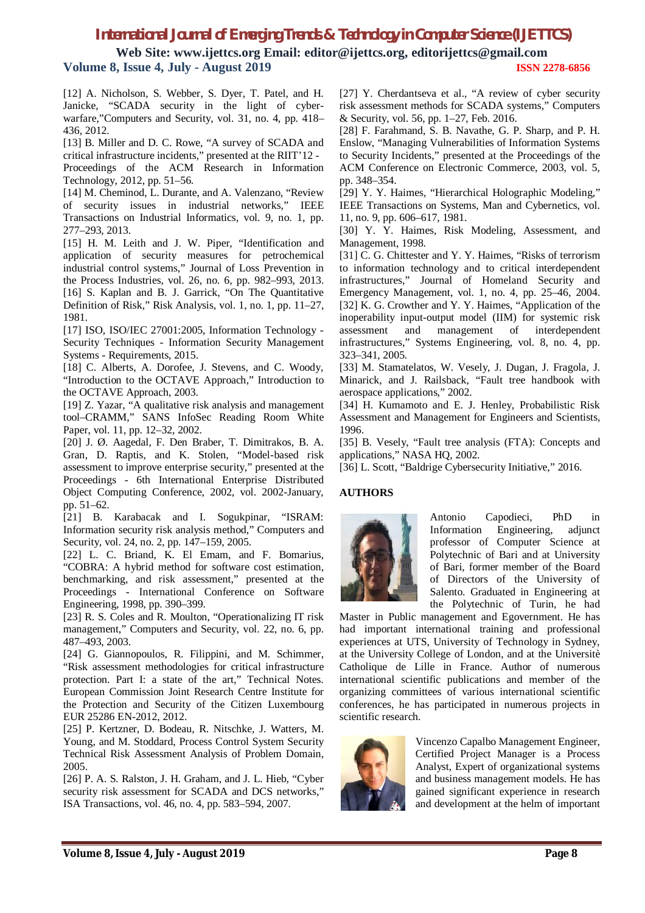**Web Site: www.ijettcs.org Email: editor@ijettcs.org, editorijettcs@gmail.com Volume 8, Issue 4, July - August 2019 ISSN 2278-6856**

[12] A. Nicholson, S. Webber, S. Dyer, T. Patel, and H. Janicke, "SCADA security in the light of cyberwarfare,"Computers and Security, vol. 31, no. 4, pp. 418– 436, 2012.

[13] B. Miller and D. C. Rowe, "A survey of SCADA and critical infrastructure incidents," presented at the RIIT'12 - Proceedings of the ACM Research in Information Technology, 2012, pp. 51–56.

[14] M. Cheminod, L. Durante, and A. Valenzano, "Review of security issues in industrial networks," IEEE Transactions on Industrial Informatics, vol. 9, no. 1, pp. 277–293, 2013.

[15] H. M. Leith and J. W. Piper, "Identification and application of security measures for petrochemical industrial control systems," Journal of Loss Prevention in the Process Industries, vol. 26, no. 6, pp. 982–993, 2013. [16] S. Kaplan and B. J. Garrick, "On The Quantitative Definition of Risk," Risk Analysis, vol. 1, no. 1, pp. 11–27, 1981.

[17] ISO, ISO/IEC 27001:2005, Information Technology -Security Techniques - Information Security Management Systems - Requirements, 2015.

[18] C. Alberts, A. Dorofee, J. Stevens, and C. Woody, "Introduction to the OCTAVE Approach," Introduction to the OCTAVE Approach, 2003.

[19] Z. Yazar, "A qualitative risk analysis and management tool–CRAMM," SANS InfoSec Reading Room White Paper, vol. 11, pp. 12–32, 2002.

[20] J. Ø. Aagedal, F. Den Braber, T. Dimitrakos, B. A. Gran, D. Raptis, and K. Stolen, "Model-based risk assessment to improve enterprise security," presented at the Proceedings - 6th International Enterprise Distributed Object Computing Conference, 2002, vol. 2002-January, pp. 51–62.

[21] B. Karabacak and I. Sogukpinar, "ISRAM: Information security risk analysis method," Computers and Security, vol. 24, no. 2, pp. 147–159, 2005.

[22] L. C. Briand, K. El Emam, and F. Bomarius, "COBRA: A hybrid method for software cost estimation, benchmarking, and risk assessment," presented at the Proceedings - International Conference on Software Engineering, 1998, pp. 390–399.

[23] R. S. Coles and R. Moulton, "Operationalizing IT risk management," Computers and Security, vol. 22, no. 6, pp. 487–493, 2003.

[24] G. Giannopoulos, R. Filippini, and M. Schimmer, "Risk assessment methodologies for critical infrastructure protection. Part I: a state of the art," Technical Notes. European Commission Joint Research Centre Institute for the Protection and Security of the Citizen Luxembourg EUR 25286 EN-2012, 2012.

[25] P. Kertzner, D. Bodeau, R. Nitschke, J. Watters, M. Young, and M. Stoddard, Process Control System Security Technical Risk Assessment Analysis of Problem Domain, 2005.

[26] P. A. S. Ralston, J. H. Graham, and J. L. Hieb, "Cyber security risk assessment for SCADA and DCS networks," ISA Transactions, vol. 46, no. 4, pp. 583–594, 2007.

[27] Y. Cherdantseva et al., "A review of cyber security risk assessment methods for SCADA systems," Computers & Security, vol. 56, pp. 1–27, Feb. 2016.

[28] F. Farahmand, S. B. Navathe, G. P. Sharp, and P. H. Enslow, "Managing Vulnerabilities of Information Systems to Security Incidents," presented at the Proceedings of the ACM Conference on Electronic Commerce, 2003, vol. 5, pp. 348–354.

[29] Y. Y. Haimes, "Hierarchical Holographic Modeling," IEEE Transactions on Systems, Man and Cybernetics, vol. 11, no. 9, pp. 606–617, 1981.

[30] Y. Y. Haimes, Risk Modeling, Assessment, and Management, 1998.

[31] C. G. Chittester and Y. Y. Haimes, "Risks of terrorism" to information technology and to critical interdependent infrastructures," Journal of Homeland Security and Emergency Management, vol. 1, no. 4, pp. 25–46, 2004. [32] K. G. Crowther and Y. Y. Haimes, "Application of the inoperability input-output model (IIM) for systemic risk assessment and management of interdependent infrastructures," Systems Engineering, vol. 8, no. 4, pp. 323–341, 2005.

[33] M. Stamatelatos, W. Vesely, J. Dugan, J. Fragola, J. Minarick, and J. Railsback, "Fault tree handbook with aerospace applications," 2002.

[34] H. Kumamoto and E. J. Henley, Probabilistic Risk Assessment and Management for Engineers and Scientists, 1996.

[35] B. Vesely, "Fault tree analysis (FTA): Concepts and applications," NASA HQ, 2002.

[36] L. Scott, "Baldrige Cybersecurity Initiative," 2016.

#### **AUTHORS**



Antonio Capodieci, PhD in Information Engineering, adjunct professor of Computer Science at Polytechnic of Bari and at University of Bari, former member of the Board of Directors of the University of Salento. Graduated in Engineering at the Polytechnic of Turin, he had

Master in Public management and Egovernment. He has had important international training and professional experiences at UTS, University of Technology in Sydney, at the University College of London, and at the Universitè Catholique de Lille in France. Author of numerous international scientific publications and member of the organizing committees of various international scientific conferences, he has participated in numerous projects in scientific research.



Vincenzo Capalbo Management Engineer, Certified Project Manager is a Process Analyst, Expert of organizational systems and business management models. He has gained significant experience in research and development at the helm of important